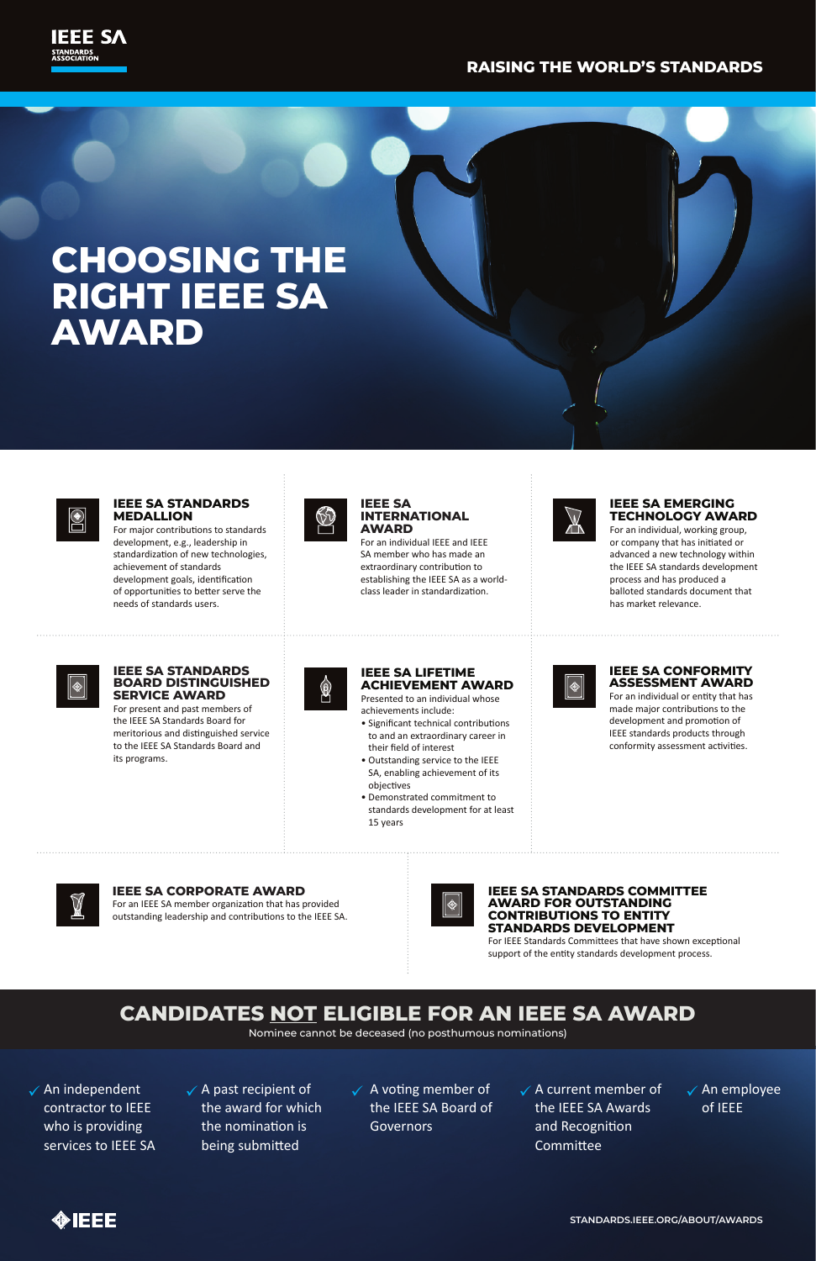$\checkmark$  An independent contractor to IEEE who is providing services to IEEE SA  $\checkmark$  A past recipient of the award for which the nomination is being submitted

 $\checkmark$  A voting member of the IEEE SA Board of **Governors** 

 $\checkmark$  A current member of the IEEE SA Awards and Recognition **Committee** 

 $\checkmark$  An employee of IEEE



**STANDARDS.IEEE.ORG/ABOUT/AWARDS**

For an individual IEEE and IEEE SA member who has made an extraordinary contribution to establishing the IEEE SA as a worldclass leader in standardization.





### **RAISING THE WORLD'S STANDARDS**

#### **IEEE SA STANDARDS BOARD DISTINGUISHED SERVICE AWARD**

For present and past members of the IEEE SA Standards Board for meritorious and distinguished service to the IEEE SA Standards Board and its programs.



### **CANDIDATES NOT ELIGIBLE FOR AN IEEE SA AWARD**

Nominee cannot be deceased (no posthumous nominations)

#### **IEEE SA INTERNATIONAL AWARD**

For major contributions to standards development, e.g., leadership in standardization of new technologies, achievement of standards development goals, identification of opportunities to better serve the needs of standards users.



#### **IEEE SA EMERGING TECHNOLOGY AWARD**

- Significant technical contributions to and an extraordinary career in their field of interest
- Outstanding service to the IEEE SA, enabling achievement of its objectives
- Demonstrated commitment to standards development for at least 15 years

For an individual, working group, or company that has initiated or advanced a new technology within the IEEE SA standards development process and has produced a balloted standards document that has market relevance.

# **CHOOSING THE RIGHT IEEE SA AWARD**



#### **IEEE SA STANDARDS MEDALLION**

#### **IEEE SA CORPORATE AWARD**

For an IEEE SA member organization that has provided outstanding leadership and contributions to the IEEE SA.



#### **IEEE SA LIFETIME ACHIEVEMENT AWARD**

Presented to an individual whose achievements include:

#### **IEEE SA CONFORMITY ASSESSMENT AWARD**

For an individual or entity that has made major contributions to the development and promotion of IEEE standards products through conformity assessment activities.

**IEEE SA STANDARDS COMMITTEE AWARD FOR OUTSTANDING CONTRIBUTIONS TO ENTITY** 

#### **STANDARDS DEVELOPMENT**

For IEEE Standards Committees that have shown exceptional support of the entity standards development process.